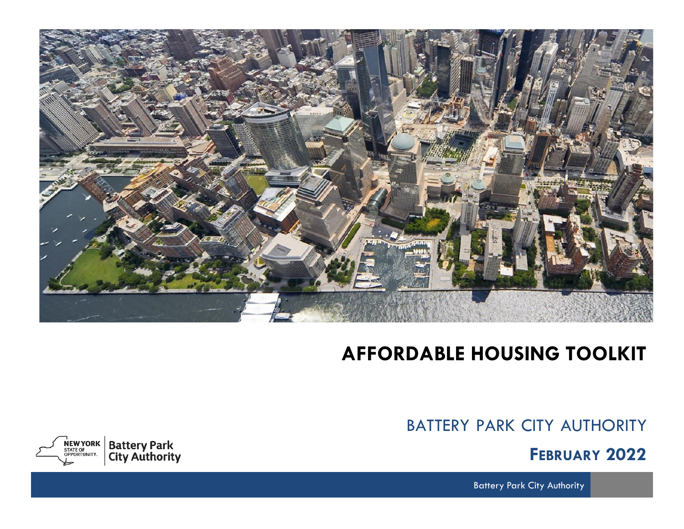

# **AFFORDABLE HOUSING TOOLKIT**

BATTERY PARK CITY AUTHORITY

**FEBRUARY 2022**

**Battery Park City Authority** 

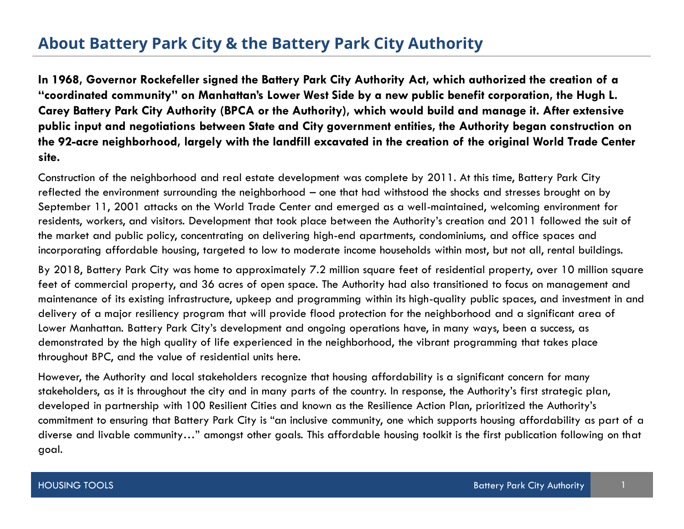# **About Battery Park City & the Battery Park City Authority**

**In 1968, Governor Rockefeller signed the Battery Park City Authority Act, which authorized the creation of a "coordinated community" on Manhattan's Lower West Side by a new public benefit corporation, the Hugh L. Carey Battery Park City Authority (BPCA or the Authority), which would build and manage it. After extensive public input and negotiations between State and City government entities, the Authority began construction on the 92-acre neighborhood, largely with the landfill excavated in the creation of the original World Trade Center site.**

Construction of the neighborhood and real estate development was complete by 2011. At this time, Battery Park City reflected the environment surrounding the neighborhood – one that had withstood the shocks and stresses brought on by September 11, 2001 attacks on the World Trade Center and emerged as a well-maintained, welcoming environment for residents, workers, and visitors. Development that took place between the Authority's creation and 2011 followed the suit of the market and public policy, concentrating on delivering high-end apartments, condominiums, and office spaces and incorporating affordable housing, targeted to low to moderate income households within most, but not all, rental buildings.

By 2018, Battery Park City was home to approximately 7.2 million square feet of residential property, over 10 million square feet of commercial property, and 36 acres of open space. The Authority had also transitioned to focus on management and maintenance of its existing infrastructure, upkeep and programming within its high-quality public spaces, and investment in and delivery of a major resiliency program that will provide flood protection for the neighborhood and a significant area of Lower Manhattan. Battery Park City's development and ongoing operations have, in many ways, been a success, as demonstrated by the high quality of life experienced in the neighborhood, the vibrant programming that takes place throughout BPC, and the value of residential units here.

However, the Authority and local stakeholders recognize that housing affordability is a significant concern for many stakeholders, as it is throughout the city and in many parts of the country. In response, the Authority's first strategic plan, developed in partnership with 100 Resilient Cities and known as the Resilience Action Plan, prioritized the Authority's commitment to ensuring that Battery Park City is "an inclusive community, one which supports housing affordability as part of a diverse and livable community…" amongst other goals. This affordable housing toolkit is the first publication following on that goal.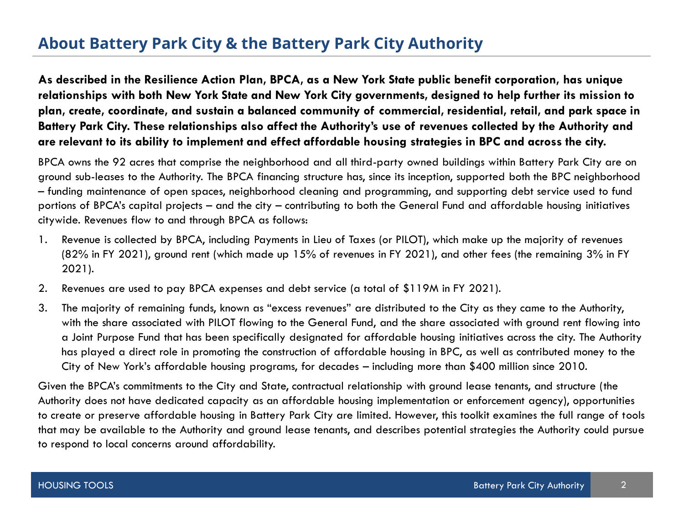# **About Battery Park City & the Battery Park City Authority**

**As described in the Resilience Action Plan, BPCA, as a New York State public benefit corporation, has unique relationships with both New York State and New York City governments, designed to help further its mission to plan, create, coordinate, and sustain a balanced community of commercial, residential, retail, and park space in Battery Park City. These relationships also affect the Authority's use of revenues collected by the Authority and are relevant to its ability to implement and effect affordable housing strategies in BPC and across the city.** 

BPCA owns the 92 acres that comprise the neighborhood and all third-party owned buildings within Battery Park City are on ground sub-leases to the Authority. The BPCA financing structure has, since its inception, supported both the BPC neighborhood – funding maintenance of open spaces, neighborhood cleaning and programming, and supporting debt service used to fund portions of BPCA's capital projects – and the city – contributing to both the General Fund and affordable housing initiatives citywide. Revenues flow to and through BPCA as follows:

- 1. Revenue is collected by BPCA, including Payments in Lieu of Taxes (or PILOT), which make up the majority of revenues (82% in FY 2021), ground rent (which made up 15% of revenues in FY 2021), and other fees (the remaining 3% in FY 2021).
- 2. Revenues are used to pay BPCA expenses and debt service (a total of \$119M in FY 2021).
- 3. The majority of remaining funds, known as "excess revenues" are distributed to the City as they came to the Authority, with the share associated with PILOT flowing to the General Fund, and the share associated with ground rent flowing into a Joint Purpose Fund that has been specifically designated for affordable housing initiatives across the city. The Authority has played a direct role in promoting the construction of affordable housing in BPC, as well as contributed money to the City of New York's affordable housing programs, for decades – including more than \$400 million since 2010.

Given the BPCA's commitments to the City and State, contractual relationship with ground lease tenants, and structure (the Authority does not have dedicated capacity as an affordable housing implementation or enforcement agency), opportunities to create or preserve affordable housing in Battery Park City are limited. However, this toolkit examines the full range of tools that may be available to the Authority and ground lease tenants, and describes potential strategies the Authority could pursue to respond to local concerns around affordability.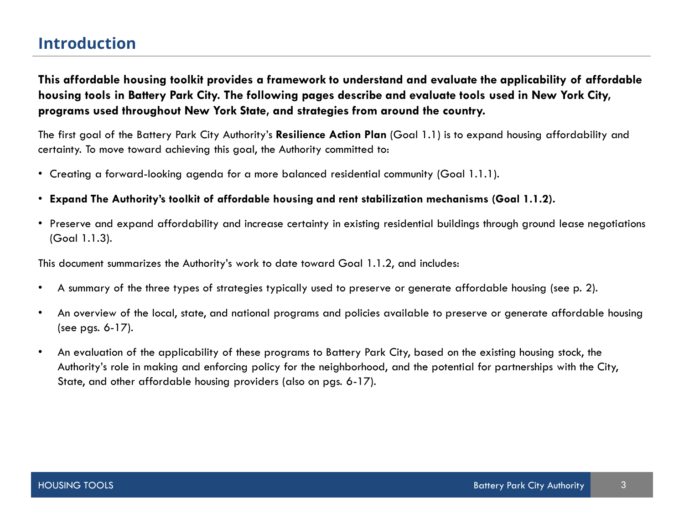# **Introduction**

**This affordable housing toolkit provides a framework to understand and evaluate the applicability of affordable housing tools in Battery Park City. The following pages describe and evaluate tools used in New York City, programs used throughout New York State, and strategies from around the country.** 

The first goal of the Battery Park City Authority's **Resilience Action Plan** (Goal 1.1) is to expand housing affordability and certainty. To move toward achieving this goal, the Authority committed to:

- Creating a forward-looking agenda for a more balanced residential community (Goal 1.1.1).
- **Expand The Authority's toolkit of affordable housing and rent stabilization mechanisms (Goal 1.1.2).**
- Preserve and expand affordability and increase certainty in existing residential buildings through ground lease negotiations (Goal 1.1.3).

This document summarizes the Authority's work to date toward Goal 1.1.2, and includes:

- A summary of the three types of strategies typically used to preserve or generate affordable housing (see p. 2).
- An overview of the local, state, and national programs and policies available to preserve or generate affordable housing (see pgs. 6-17).
- An evaluation of the applicability of these programs to Battery Park City, based on the existing housing stock, the Authority's role in making and enforcing policy for the neighborhood, and the potential for partnerships with the City, State, and other affordable housing providers (also on pgs. 6-17).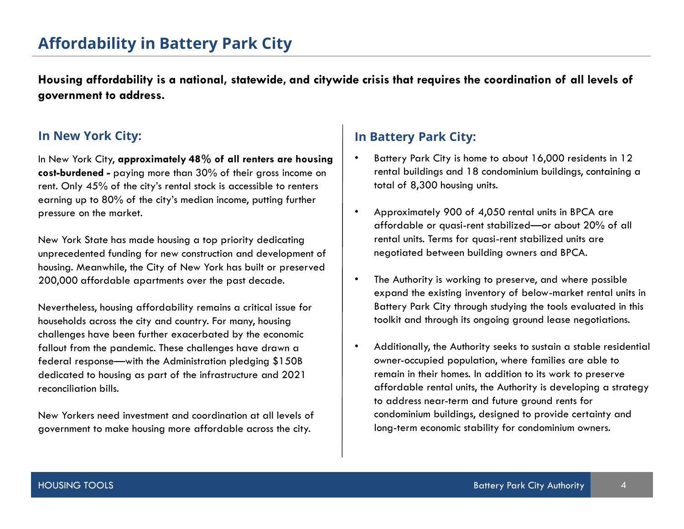# **Affordability in Battery Park City**

**Housing affordability is a national, statewide, and citywide crisis that requires the coordination of all levels of government to address.**

In New York City, **approximately 48% of all renters are housing cost-burdened -** paying more than 30% of their gross income on rent. Only 45% of the city's rental stock is accessible to renters earning up to 80% of the city's median income, putting further pressure on the market.

New York State has made housing a top priority dedicating unprecedented funding for new construction and development of housing. Meanwhile, the City of New York has built or preserved 200,000 affordable apartments over the past decade.

Nevertheless, housing affordability remains a critical issue for households across the city and country. For many, housing challenges have been further exacerbated by the economic fallout from the pandemic. These challenges have drawn a federal response—with the Administration pledging \$150B dedicated to housing as part of the infrastructure and 2021 reconciliation bills.

New Yorkers need investment and coordination at all levels of government to make housing more affordable across the city.

### **In New York City: In Battery Park City:**

- Battery Park City is home to about 16,000 residents in 12 rental buildings and 18 condominium buildings, containing a total of 8,300 housing units.
- Approximately 900 of 4,050 rental units in BPCA are affordable or quasi-rent stabilized—or about 20% of all rental units. Terms for quasi-rent stabilized units are negotiated between building owners and BPCA.
- The Authority is working to preserve, and where possible expand the existing inventory of below-market rental units in Battery Park City through studying the tools evaluated in this toolkit and through its ongoing ground lease negotiations.
- Additionally, the Authority seeks to sustain a stable residential owner-occupied population, where families are able to remain in their homes. In addition to its work to preserve affordable rental units, the Authority is developing a strategy to address near-term and future ground rents for condominium buildings, designed to provide certainty and long-term economic stability for condominium owners.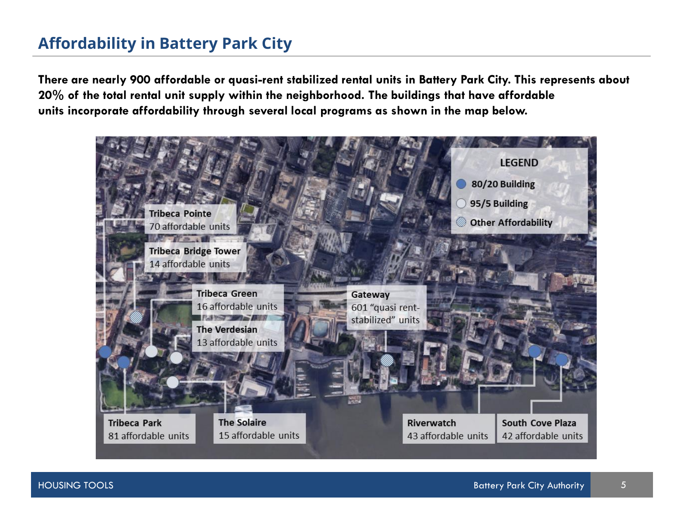# **Affordability in Battery Park City**

**There are nearly 900 affordable or quasi-rent stabilized rental units in Battery Park City. This represents about 20% of the total rental unit supply within the neighborhood. The buildings that have affordable units incorporate affordability through several local programs as shown in the map below.**

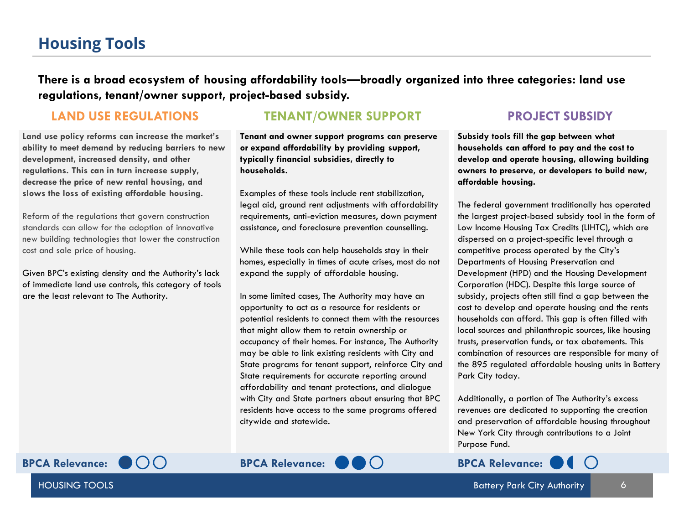# **Housing Tools**

**There is a broad ecosystem of housing affordability tools—broadly organized into three categories: land use regulations, tenant/owner support, project-based subsidy.**

**Land use policy reforms can increase the market's ability to meet demand by reducing barriers to new development, increased density, and other regulations. This can in turn increase supply, decrease the price of new rental housing, and slows the loss of existing affordable housing.** 

Reform of the regulations that govern construction standards can allow for the adoption of innovative new building technologies that lower the construction cost and sale price of housing.

Given BPC's existing density and the Authority's lack of immediate land use controls, this category of tools are the least relevant to The Authority.

**LAND USE REGULATIONS TENANT/OWNER SUPPORT PROJECT SUBSIDY**

**Tenant and owner support programs can preserve or expand affordability by providing support, typically financial subsidies, directly to households.**

Examples of these tools include rent stabilization, legal aid, ground rent adjustments with affordability requirements, anti-eviction measures, down payment assistance, and foreclosure prevention counselling.

While these tools can help households stay in their homes, especially in times of acute crises, most do not expand the supply of affordable housing.

In some limited cases, The Authority may have an opportunity to act as a resource for residents or potential residents to connect them with the resources that might allow them to retain ownership or occupancy of their homes. For instance, The Authority may be able to link existing residents with City and State programs for tenant support, reinforce City and State requirements for accurate reporting around affordability and tenant protections, and dialogue with City and State partners about ensuring that BPC residents have access to the same programs offered citywide and statewide.

**Subsidy tools fill the gap between what households can afford to pay and the cost to develop and operate housing, allowing building owners to preserve, or developers to build new, affordable housing.**

The federal government traditionally has operated the largest project-based subsidy tool in the form of Low Income Housing Tax Credits (LIHTC), which are dispersed on a project-specific level through a competitive process operated by the City's Departments of Housing Preservation and Development (HPD) and the Housing Development Corporation (HDC). Despite this large source of subsidy, projects often still find a gap between the cost to develop and operate housing and the rents households can afford. This gap is often filled with local sources and philanthropic sources, like housing trusts, preservation funds, or tax abatements. This combination of resources are responsible for many of the 895 regulated affordable housing units in Battery Park City today.

Additionally, a portion of The Authority's excess revenues are dedicated to supporting the creation and preservation of affordable housing throughout New York City through contributions to a Joint Purpose Fund.

HOUSING TOOLS



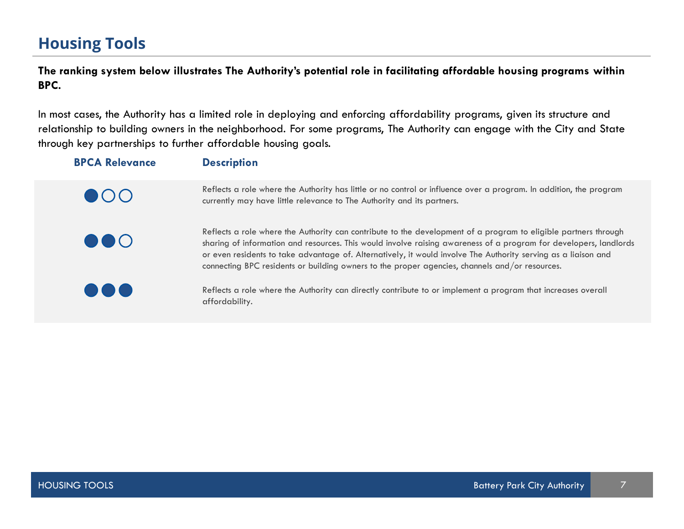# **Housing Tools**

**The ranking system below illustrates The Authority's potential role in facilitating affordable housing programs within BPC.** 

In most cases, the Authority has a limited role in deploying and enforcing affordability programs, given its structure and relationship to building owners in the neighborhood. For some programs, The Authority can engage with the City and State through key partnerships to further affordable housing goals.

| <b>BPCA Relevance</b>   | <b>Description</b>                                                                                                                                                                                                                                                                                                                                                                                                                                       |
|-------------------------|----------------------------------------------------------------------------------------------------------------------------------------------------------------------------------------------------------------------------------------------------------------------------------------------------------------------------------------------------------------------------------------------------------------------------------------------------------|
| $\bullet$ 00            | Reflects a role where the Authority has little or no control or influence over a program. In addition, the program<br>currently may have little relevance to The Authority and its partners.                                                                                                                                                                                                                                                             |
| $\bullet\bullet\circ$   | Reflects a role where the Authority can contribute to the development of a program to eligible partners through<br>sharing of information and resources. This would involve raising awareness of a program for developers, landlords<br>or even residents to take advantage of. Alternatively, it would involve The Authority serving as a liaison and<br>connecting BPC residents or building owners to the proper agencies, channels and/or resources. |
| $\bullet\bullet\bullet$ | Reflects a role where the Authority can directly contribute to or implement a program that increases overall<br>affordability.                                                                                                                                                                                                                                                                                                                           |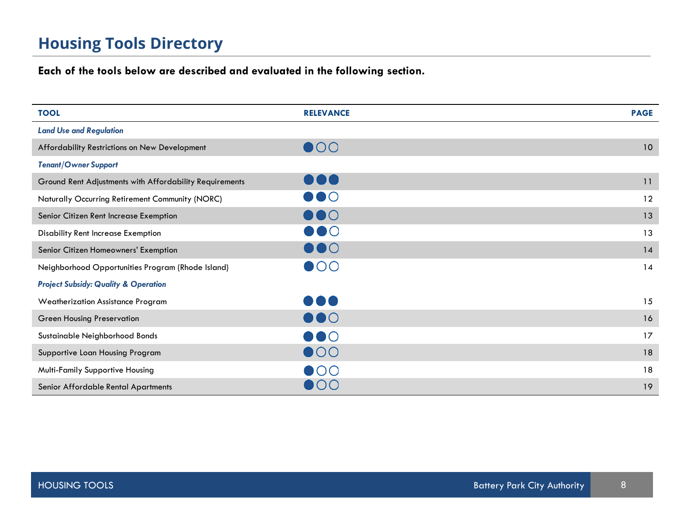# **Housing Tools Directory**

### **Each of the tools below are described and evaluated in the following section.**

| <b>TOOL</b>                                             | <b>RELEVANCE</b>        | <b>PAGE</b> |
|---------------------------------------------------------|-------------------------|-------------|
| <b>Land Use and Regulation</b>                          |                         |             |
| Affordability Restrictions on New Development           | $\bullet$ 00            | 10          |
| <b>Tenant/Owner Support</b>                             |                         |             |
| Ground Rent Adjustments with Affordability Requirements | $\bullet\bullet\bullet$ | 11          |
| Naturally Occurring Retirement Community (NORC)         | $\bullet\bullet\circ$   | 12          |
| Senior Citizen Rent Increase Exemption                  | $\bullet\bullet\circ$   | 13          |
| <b>Disability Rent Increase Exemption</b>               | $\bullet\bullet\circ$   | 13          |
| Senior Citizen Homeowners' Exemption                    | $\bullet\bullet\circ$   | 14          |
| Neighborhood Opportunities Program (Rhode Island)       | $\bullet$ OO            | 14          |
| <b>Project Subsidy: Quality &amp; Operation</b>         |                         |             |
| <b>Weatherization Assistance Program</b>                | $\bullet\bullet\bullet$ | 15          |
| <b>Green Housing Preservation</b>                       | $\bullet\bullet\circ$   | 16          |
| Sustainable Neighborhood Bonds                          | $\bullet\bullet\circ$   | 17          |
| Supportive Loan Housing Program                         | $\bullet$ 00            | 18          |
| Multi-Family Supportive Housing                         | $\bullet$ 00            | 18          |
| Senior Affordable Rental Apartments                     | $\bullet$ OO            | 19          |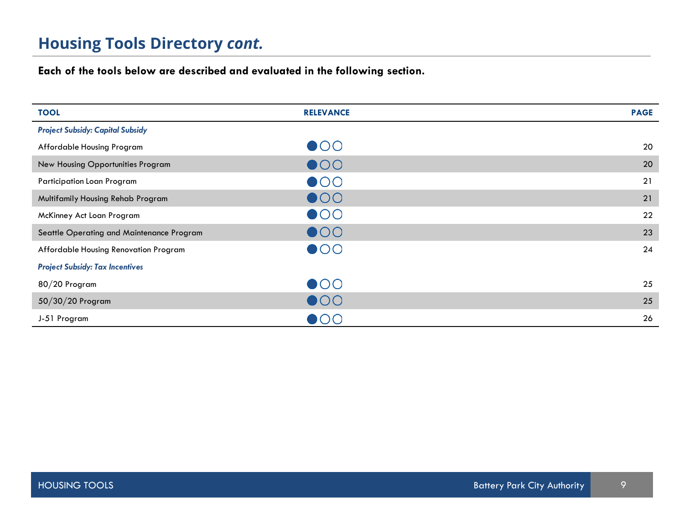# **Housing Tools Directory** *cont.*

**Each of the tools below are described and evaluated in the following section.**

| <b>TOOL</b>                               | <b>RELEVANCE</b> | <b>PAGE</b> |
|-------------------------------------------|------------------|-------------|
| <b>Project Subsidy: Capital Subsidy</b>   |                  |             |
| Affordable Housing Program                | $\bullet$ 00     | 20          |
| New Housing Opportunities Program         | $\bullet$ 00     | 20          |
| Participation Loan Program                | $\bullet$ 00     | 21          |
| Multifamily Housing Rehab Program         | $\bullet$ 00     | 21          |
| McKinney Act Loan Program                 | $\bullet$ 00     | 22          |
| Seattle Operating and Maintenance Program | $\bullet$ 00     | 23          |
| Affordable Housing Renovation Program     | $\bullet$ 00     | 24          |
| <b>Project Subsidy: Tax Incentives</b>    |                  |             |
| 80/20 Program                             | $\bullet$ 00     | 25          |
| 50/30/20 Program                          | $\bullet$ 00     | 25          |
| J-51 Program                              | $\bullet\circ$   | 26          |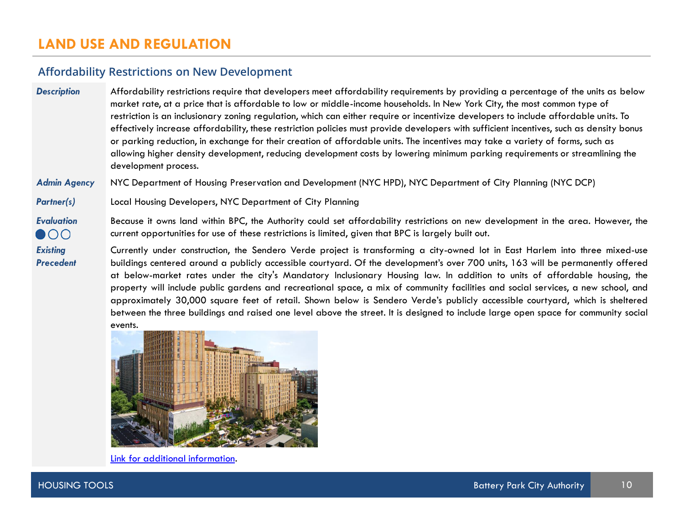### **LAND USE AND REGULATION**

#### **Affordability Restrictions on New Development**

*Description* Affordability restrictions require that developers meet affordability requirements by providing a percentage of the units as below market rate, at a price that is affordable to low or middle-income households. In New York City, the most common type of restriction is an inclusionary zoning regulation, which can either require or incentivize developers to include affordable units. To effectively increase affordability, these restriction policies must provide developers with sufficient incentives, such as density bonus or parking reduction, in exchange for their creation of affordable units. The incentives may take a variety of forms, such as allowing higher density development, reducing development costs by lowering minimum parking requirements or streamlining the development process.

*Admin Agency* NYC Department of Housing Preservation and Development (NYC HPD), NYC Department of City Planning (NYC DCP)

*Partner(s)* Local Housing Developers, NYC Department of City Planning

*Evaluation* Because it owns land within BPC, the Authority could set affordability restrictions on new development in the area. However, the current opportunities for use of these restrictions is limited, given that BPC is largely built out.  $\bullet$ 00

> Currently under construction, the Sendero Verde project is transforming a city-owned lot in East Harlem into three mixed-use buildings centered around a publicly accessible courtyard. Of the development's over 700 units, 163 will be permanently offered at below-market rates under the city's Mandatory Inclusionary Housing law. In addition to units of affordable housing, the property will include public gardens and recreational space, a mix of community facilities and social services, a new school, and approximately 30,000 square feet of retail. Shown below is Sendero Verde's publicly accessible courtyard, which is sheltered between the three buildings and raised one level above the street. It is designed to include large open space for community social events.



Link for additional [information](https://www1.nyc.gov/site/hpd/about/projects-detail.page?project=Sendero%20Verde).

*Existing Precedent*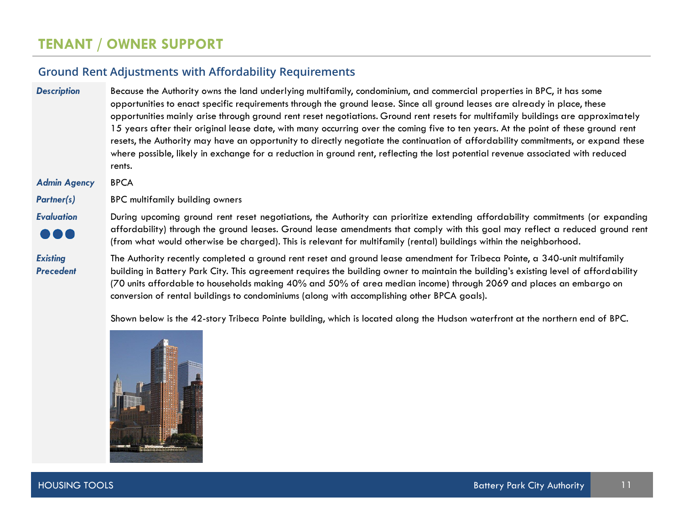#### **Ground Rent Adjustments with Affordability Requirements**

#### *Description* Because the Authority owns the land underlying multifamily, condominium, and commercial properties in BPC, it has some opportunities to enact specific requirements through the ground lease. Since all ground leases are already in place, these opportunities mainly arise through ground rent reset negotiations. Ground rent resets for multifamily buildings are approximately 15 years after their original lease date, with many occurring over the coming five to ten years. At the point of these ground rent resets, the Authority may have an opportunity to directly negotiate the continuation of affordability commitments, or expand these where possible, likely in exchange for a reduction in ground rent, reflecting the lost potential revenue associated with reduced rents.

#### *Admin Agency* BPCA

*Partner(s)* BPC multifamily building owners

*Existing Precedent*

*Evaluation* During upcoming ground rent reset negotiations, the Authority can prioritize extending affordability commitments (or expanding affordability) through the ground leases. Ground lease amendments that comply with this goal may reflect a reduced ground rent (from what would otherwise be charged). This is relevant for multifamily (rental) buildings within the neighborhood.

> The Authority recently completed a ground rent reset and ground lease amendment for Tribeca Pointe, a 340-unit multifamily building in Battery Park City. This agreement requires the building owner to maintain the building's existing level of affordability (70 units affordable to households making 40% and 50% of area median income) through 2069 and places an embargo on conversion of rental buildings to condominiums (along with accomplishing other BPCA goals).

Shown below is the 42-story Tribeca Pointe building, which is located along the Hudson waterfront at the northern end of BPC.

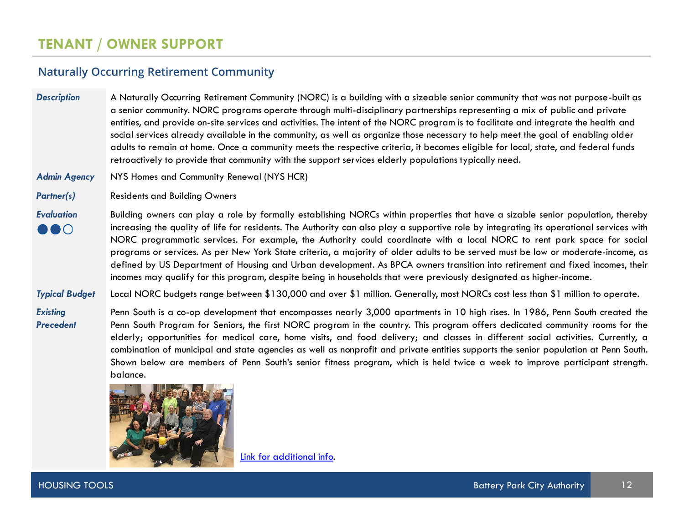#### **Naturally Occurring Retirement Community**

**Description** A Naturally Occurring Retirement Community (NORC) is a building with a sizeable senior community that was not purpose-built as a senior community. NORC programs operate through multi-disciplinary partnerships representing a mix of public and private entities, and provide on-site services and activities. The intent of the NORC program is to facilitate and integrate the health and social services already available in the community, as well as organize those necessary to help meet the goal of enabling older adults to remain at home. Once a community meets the respective criteria, it becomes eligible for local, state, and federal funds retroactively to provide that community with the support services elderly populations typically need.

- *Admin Agency* NYS Homes and Community Renewal (NYS HCR)
- **Partner(s)** Residents and Building Owners
- *Evaluation* Building owners can play a role by formally establishing NORCs within properties that have a sizable senior population, thereby increasing the quality of life for residents. The Authority can also play a supportive role by integrating its operational services with  $\bullet\bullet\circ$ NORC programmatic services. For example, the Authority could coordinate with a local NORC to rent park space for social programs or services. As per New York State criteria, a majority of older adults to be served must be low or moderate-income, as defined by US Department of Housing and Urban development. As BPCA owners transition into retirement and fixed incomes, their incomes may qualify for this program, despite being in households that were previously designated as higher-income.
- *Typical Budget* Local NORC budgets range between \$130,000 and over \$1 million. Generally, most NORCs cost less than \$1 million to operate.

*Existing Precedent* Penn South is a co-op development that encompasses nearly 3,000 apartments in 10 high rises. In 1986, Penn South created the Penn South Program for Seniors, the first NORC program in the country. This program offers dedicated community rooms for the elderly; opportunities for medical care, home visits, and food delivery; and classes in different social activities. Currently, a combination of municipal and state agencies as well as nonprofit and private entities supports the senior population at Penn South. Shown below are members of Penn South's senior fitness program, which is held twice a week to improve participant strength. balance.



Link for [additional](https://www.psss.org/) info.

HOUSING TOOLS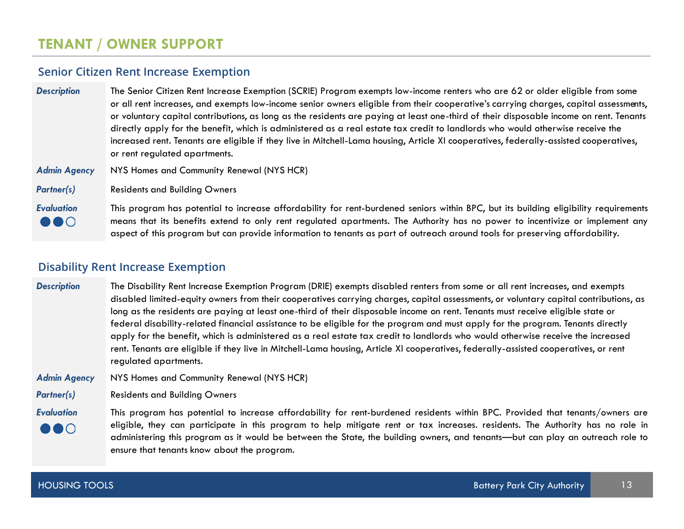#### **Senior Citizen Rent Increase Exemption**

| <b>Description</b>                           | The Senior Citizen Rent Increase Exemption (SCRIE) Program exempts low-income renters who are 62 or older eligible from some<br>or all rent increases, and exempts low-income senior owners eligible from their cooperative's carrying charges, capital assessments,<br>or voluntary capital contributions, as long as the residents are paying at least one-third of their disposable income on rent. Tenants<br>directly apply for the benefit, which is administered as a real estate tax credit to landlords who would otherwise receive the<br>increased rent. Tenants are eligible if they live in Mitchell-Lama housing, Article XI cooperatives, federally-assisted cooperatives,<br>or rent regulated apartments. |
|----------------------------------------------|----------------------------------------------------------------------------------------------------------------------------------------------------------------------------------------------------------------------------------------------------------------------------------------------------------------------------------------------------------------------------------------------------------------------------------------------------------------------------------------------------------------------------------------------------------------------------------------------------------------------------------------------------------------------------------------------------------------------------|
| <b>Admin Agency</b>                          | NYS Homes and Community Renewal (NYS HCR)                                                                                                                                                                                                                                                                                                                                                                                                                                                                                                                                                                                                                                                                                  |
| <b>Partner(s)</b>                            | <b>Residents and Building Owners</b>                                                                                                                                                                                                                                                                                                                                                                                                                                                                                                                                                                                                                                                                                       |
| <b>Evaluation</b><br>$\bullet \bullet \circ$ | This program has potential to increase affordability for rent-burdened seniors within BPC, but its building eligibility requirements<br>means that its benefits extend to only rent regulated apartments. The Authority has no power to incentivize or implement any                                                                                                                                                                                                                                                                                                                                                                                                                                                       |

aspect of this program but can provide information to tenants as part of outreach around tools for preserving affordability.

#### **Disability Rent Increase Exemption**

*Description* The Disability Rent Increase Exemption Program (DRIE) exempts disabled renters from some or all rent increases, and exempts disabled limited-equity owners from their cooperatives carrying charges, capital assessments, or voluntary capital contributions, as long as the residents are paying at least one-third of their disposable income on rent. Tenants must receive eligible state or federal disability-related financial assistance to be eligible for the program and must apply for the program. Tenants directly apply for the benefit, which is administered as a real estate tax credit to landlords who would otherwise receive the increased rent. Tenants are eligible if they live in Mitchell-Lama housing, Article XI cooperatives, federally-assisted cooperatives, or rent regulated apartments.

*Admin Agency* NYS Homes and Community Renewal (NYS HCR)

**Partner(s)** Residents and Building Owners

*Evaluation* This program has potential to increase affordability for rent-burdened residents within BPC. Provided that tenants/owners are eligible, they can participate in this program to help mitigate rent or tax increases. residents. The Authority has no role in  $\bullet$   $\bullet$  ( ) administering this program as it would be between the State, the building owners, and tenants—but can play an outreach role to ensure that tenants know about the program.

JUU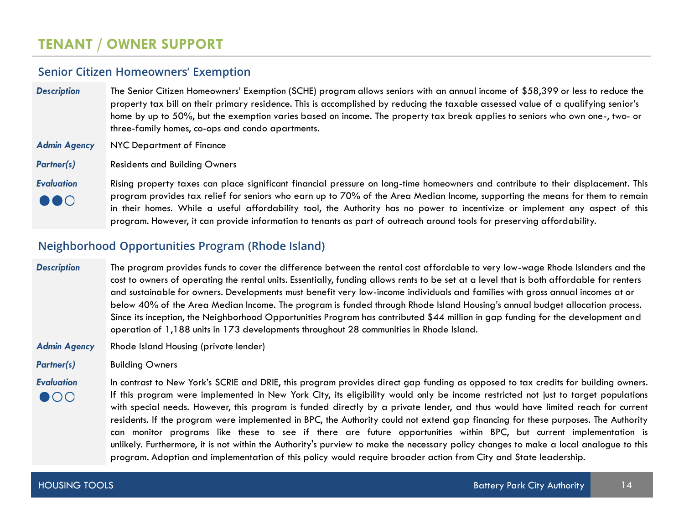#### **Senior Citizen Homeowners' Exemption**

- *Description* The Senior Citizen Homeowners' Exemption (SCHE) program allows seniors with an annual income of \$58,399 or less to reduce the property tax bill on their primary residence. This is accomplished by reducing the taxable assessed value of a qualifying senior's home by up to 50%, but the exemption varies based on income. The property tax break applies to seniors who own one-, two- or three-family homes, co-ops and condo apartments.
- *Admin Agency* NYC Department of Finance
- *Partner(s)* Residents and Building Owners

*Evaluation* Rising property taxes can place significant financial pressure on long-time homeowners and contribute to their displacement. This program provides tax relief for seniors who earn up to 70% of the Area Median Income, supporting the means for them to remain  $\bullet\bullet\circ$ in their homes. While a useful affordability tool, the Authority has no power to incentivize or implement any aspect of this program. However, it can provide information to tenants as part of outreach around tools for preserving affordability.

#### **Neighborhood Opportunities Program (Rhode Island)**

#### *Description* The program provides funds to cover the difference between the rental cost affordable to very low-wage Rhode Islanders and the cost to owners of operating the rental units. Essentially, funding allows rents to be set at a level that is both affordable for renters and sustainable for owners. Developments must benefit very low-income individuals and families with gross annual incomes at or below 40% of the Area Median Income. The program is funded through Rhode Island Housing's annual budget allocation process. Since its inception, the Neighborhood Opportunities Program has contributed \$44 million in gap funding for the development and operation of 1,188 units in 173 developments throughout 28 communities in Rhode Island.

- *Admin Agency* Rhode Island Housing (private lender)
- **Partner(s)** Building Owners

*Evaluation* In contrast to New York's SCRIE and DRIE, this program provides direct gap funding as opposed to tax credits for building owners. If this program were implemented in New York City, its eligibility would only be income restricted not just to target populations  $\bullet$ 00 with special needs. However, this program is funded directly by a private lender, and thus would have limited reach for current residents. If the program were implemented in BPC, the Authority could not extend gap financing for these purposes. The Authority can monitor programs like these to see if there are future opportunities within BPC, but current implementation is unlikely. Furthermore, it is not within the Authority's purview to make the necessary policy changes to make a local analogue to this program. Adoption and implementation of this policy would require broader action from City and State leadership.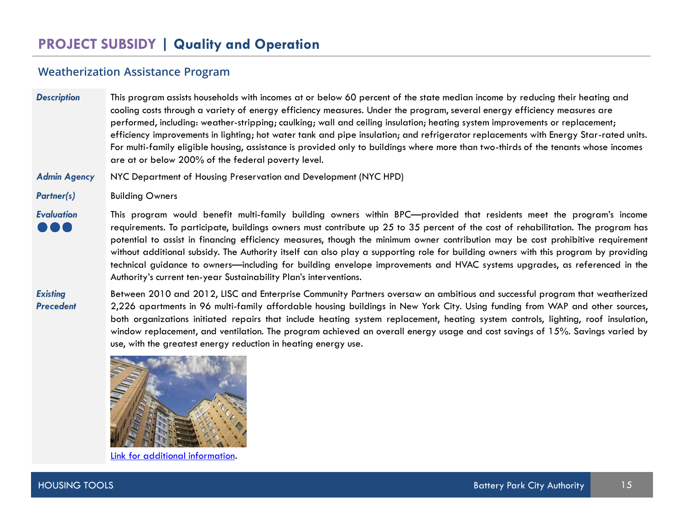#### **Weatherization Assistance Program**

*Description* This program assists households with incomes at or below 60 percent of the state median income by reducing their heating and cooling costs through a variety of energy efficiency measures. Under the program, several energy efficiency measures are performed, including: weather-stripping; caulking; wall and ceiling insulation; heating system improvements or replacement; efficiency improvements in lighting; hot water tank and pipe insulation; and refrigerator replacements with Energy Star-rated units. For multi-family eligible housing, assistance is provided only to buildings where more than two-thirds of the tenants whose incomes are at or below 200% of the federal poverty level.

*Admin Agency* NYC Department of Housing Preservation and Development (NYC HPD)

Partner(s) **Building Owners** 

*Evaluation* This program would benefit multi-family building owners within BPC—provided that residents meet the program's income requirements. To participate, buildings owners must contribute up 25 to 35 percent of the cost of rehabilitation. The program has potential to assist in financing efficiency measures, though the minimum owner contribution may be cost prohibitive requirement without additional subsidy. The Authority itself can also play a supporting role for building owners with this program by providing technical guidance to owners—including for building envelope improvements and HVAC systems upgrades, as referenced in the Authority's current ten-year Sustainability Plan's interventions.

*Existing Precedent* Between 2010 and 2012, LISC and Enterprise Community Partners oversaw an ambitious and successful program that weatherized 2,226 apartments in 96 multi-family affordable housing buildings in New York City. Using funding from WAP and other sources, both organizations initiated repairs that include heating system replacement, heating system controls, lighting, roof insulation, window replacement, and ventilation. The program achieved an overall energy usage and cost savings of 15%. Savings varied by use, with the greatest energy reduction in heating energy use.



Link for additional [information](https://www.lisc.org/media/filer_public/9e/97/9e97ee50-524e-4669-8609-a6acb2f4ee7e/multifamily_weatherization_assistance_program.pdf).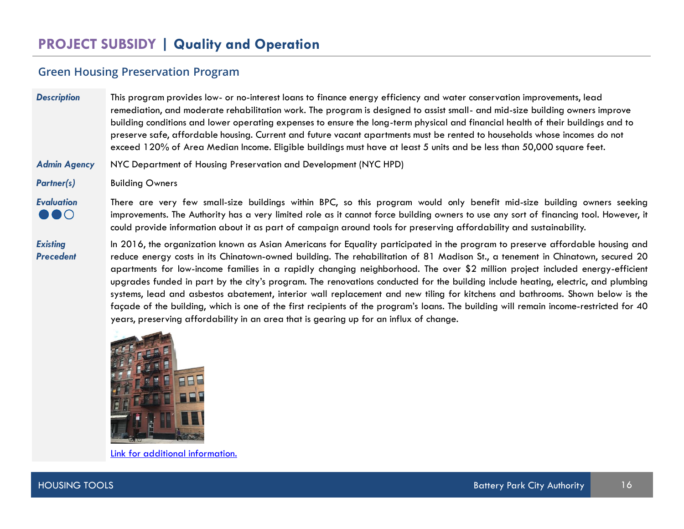#### **Green Housing Preservation Program**

*Description* This program provides low- or no-interest loans to finance energy efficiency and water conservation improvements, lead remediation, and moderate rehabilitation work. The program is designed to assist small- and mid-size building owners improve building conditions and lower operating expenses to ensure the long-term physical and financial health of their buildings and to preserve safe, affordable housing. Current and future vacant apartments must be rented to households whose incomes do not exceed 120% of Area Median Income. Eligible buildings must have at least 5 units and be less than 50,000 square feet.

#### *Admin Agency* NYC Department of Housing Preservation and Development (NYC HPD)

*Partner(s)* Building Owners

*Existing Precedent*

 $\bullet\bullet\circ$ 

*Evaluation* There are very few small-size buildings within BPC, so this program would only benefit mid-size building owners seeking improvements. The Authority has a very limited role as it cannot force building owners to use any sort of financing tool. However, it could provide information about it as part of campaign around tools for preserving affordability and sustainability.

In 2016, the organization known as Asian Americans for Equality participated in the program to preserve affordable housing and reduce energy costs in its Chinatown-owned building. The rehabilitation of 81 Madison St., a tenement in Chinatown, secured 20 apartments for low-income families in a rapidly changing neighborhood. The over \$2 million project included energy-efficient upgrades funded in part by the city's program. The renovations conducted for the building include heating, electric, and plumbing systems, lead and asbestos abatement, interior wall replacement and new tiling for kitchens and bathrooms. Shown below is the façade of the building, which is one of the first recipients of the program's loans. The building will remain income-restricted for 40 years, preserving affordability in an area that is gearing up for an influx of change.



[Link for additional information.](https://www.aafe.org/2017/12/aafe-preserves-affordable-apartments-in-chinatown-thanks-to-help-from-hpd-and-enterprise.html)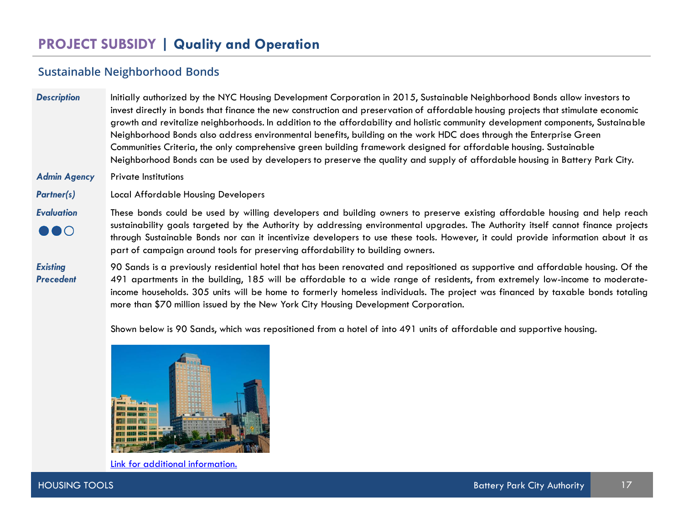#### **Sustainable Neighborhood Bonds**

**Description** Initially authorized by the NYC Housing Development Corporation in 2015, Sustainable Neighborhood Bonds allow investors to invest directly in bonds that finance the new construction and preservation of affordable housing projects that stimulate economic growth and revitalize neighborhoods. In addition to the affordability and holistic community development components, Sustainable Neighborhood Bonds also address environmental benefits, building on the work HDC does through the Enterprise Green Communities Criteria, the only comprehensive green building framework designed for affordable housing. Sustainable Neighborhood Bonds can be used by developers to preserve the quality and supply of affordable housing in Battery Park City.

*Admin Agency* Private Institutions

*Partner(s)* Local Affordable Housing Developers

#### *Evaluation* These bonds could be used by willing developers and building owners to preserve existing affordable housing and help reach sustainability goals targeted by the Authority by addressing environmental upgrades. The Authority itself cannot finance projects  $\bullet\bullet\circ$ through Sustainable Bonds nor can it incentivize developers to use these tools. However, it could provide information about it as part of campaign around tools for preserving affordability to building owners.

*Existing Precedent* 90 Sands is a previously residential hotel that has been renovated and repositioned as supportive and affordable housing. Of the 491 apartments in the building, 185 will be affordable to a wide range of residents, from extremely low-income to moderateincome households. 305 units will be home to formerly homeless individuals. The project was financed by taxable bonds totaling more than \$70 million issued by the New York City Housing Development Corporation.

Shown below is 90 Sands, which was repositioned from a hotel of into 491 units of affordable and supportive housing.



[Link for additional information.](https://breakingground.org/our-housing/90-sands)

HOUSING TOOLS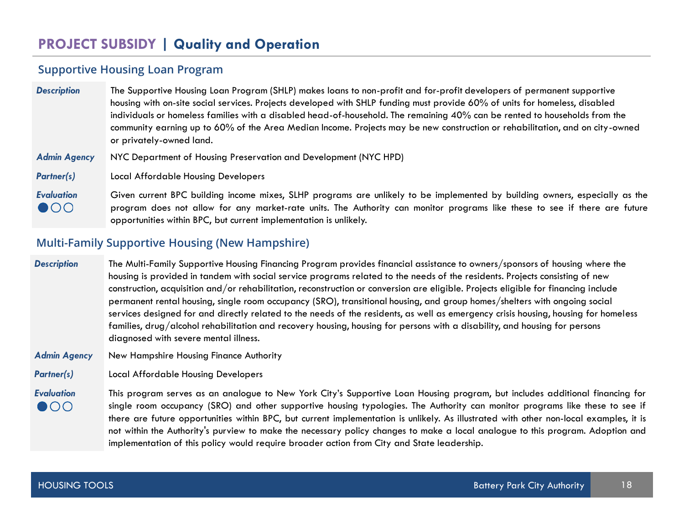#### **Supportive Housing Loan Program**

| <b>Description</b>                | The Supportive Housing Loan Program (SHLP) makes loans to non-profit and for-profit developers of permanent supportive<br>housing with on-site social services. Projects developed with SHLP funding must provide 60% of units for homeless, disabled<br>individuals or homeless families with a disabled head-of-household. The remaining 40% can be rented to households from the<br>community earning up to 60% of the Area Median Income. Projects may be new construction or rehabilitation, and on city-owned<br>or privately-owned land. |
|-----------------------------------|-------------------------------------------------------------------------------------------------------------------------------------------------------------------------------------------------------------------------------------------------------------------------------------------------------------------------------------------------------------------------------------------------------------------------------------------------------------------------------------------------------------------------------------------------|
| <b>Admin Agency</b>               | NYC Department of Housing Preservation and Development (NYC HPD)                                                                                                                                                                                                                                                                                                                                                                                                                                                                                |
| <b>Partner(s)</b>                 | Local Affordable Housing Developers                                                                                                                                                                                                                                                                                                                                                                                                                                                                                                             |
| <b>Evaluation</b><br>$\bullet$ 00 | Given current BPC building income mixes, SLHP programs are unlikely to be implemented by building owners, especially as the<br>program does not allow for any market-rate units. The Authority can monitor programs like these to see if there are future<br>opportunities within BPC, but current implementation is unlikely.                                                                                                                                                                                                                  |

#### **Multi-Family Supportive Housing (New Hampshire)**

- *Description* The Multi-Family Supportive Housing Financing Program provides financial assistance to owners/sponsors of housing where the housing is provided in tandem with social service programs related to the needs of the residents. Projects consisting of new construction, acquisition and/or rehabilitation, reconstruction or conversion are eligible. Projects eligible for financing include permanent rental housing, single room occupancy (SRO), transitional housing, and group homes/shelters with ongoing social services designed for and directly related to the needs of the residents, as well as emergency crisis housing, housing for homeless families, drug/alcohol rehabilitation and recovery housing, housing for persons with a disability, and housing for persons diagnosed with severe mental illness.
- *Admin Agency* New Hampshire Housing Finance Authority
- *Partner(s)* Local Affordable Housing Developers
- *Evaluation* This program serves as an analogue to New York City's Supportive Loan Housing program, but includes additional financing for  $\bullet$ single room occupancy (SRO) and other supportive housing typologies. The Authority can monitor programs like these to see if there are future opportunities within BPC, but current implementation is unlikely. As illustrated with other non-local examples, it is not within the Authority's purview to make the necessary policy changes to make a local analogue to this program. Adoption and implementation of this policy would require broader action from City and State leadership.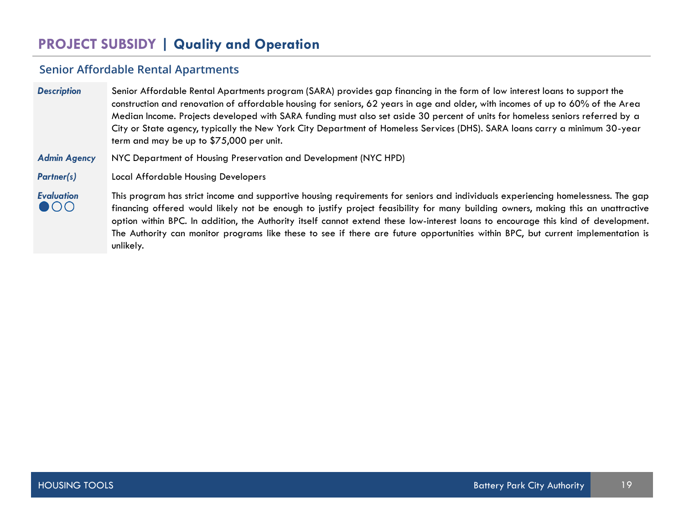## **Senior Affordable Rental Apartments**

| <b>Description</b>                | Senior Affordable Rental Apartments program (SARA) provides gap financing in the form of low interest loans to support the<br>construction and renovation of affordable housing for seniors, 62 years in age and older, with incomes of up to 60% of the Area<br>Median Income. Projects developed with SARA funding must also set aside 30 percent of units for homeless seniors referred by a<br>City or State agency, typically the New York City Department of Homeless Services (DHS). SARA loans carry a minimum 30-year<br>term and may be up to \$75,000 per unit. |
|-----------------------------------|----------------------------------------------------------------------------------------------------------------------------------------------------------------------------------------------------------------------------------------------------------------------------------------------------------------------------------------------------------------------------------------------------------------------------------------------------------------------------------------------------------------------------------------------------------------------------|
| <b>Admin Agency</b>               | NYC Department of Housing Preservation and Development (NYC HPD)                                                                                                                                                                                                                                                                                                                                                                                                                                                                                                           |
| <b>Partner(s)</b>                 | <b>Local Affordable Housing Developers</b>                                                                                                                                                                                                                                                                                                                                                                                                                                                                                                                                 |
| <b>Evaluation</b><br>$\bullet$ 00 | This program has strict income and supportive housing requirements for seniors and individuals experiencing homelessness. The gap<br>financing offered would likely not be enough to justify project feasibility for many building owners, making this an unattractive<br>option within BPC. In addition, the Authority itself cannot extend these low-interest loans to encourage this kind of development.<br>The Authority can monitor programs like these to see if there are future opportunities within BPC, but current implementation is<br>unlikely.              |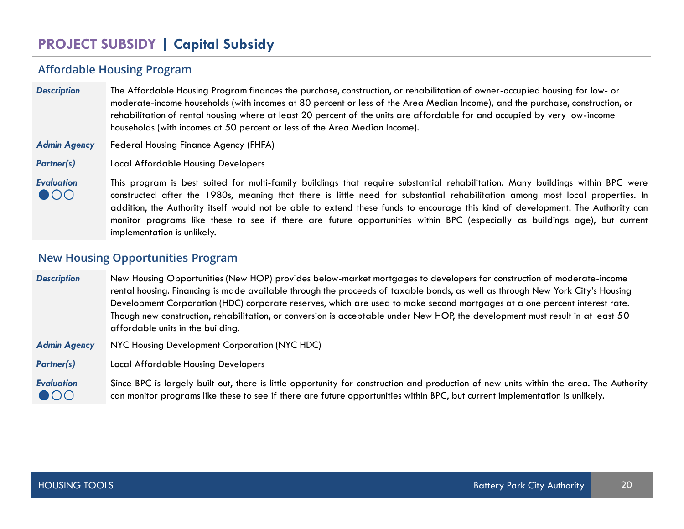## **PROJECT SUBSIDY | Capital Subsidy**

#### **Affordable Housing Program**

| <b>Description</b> | The Affordable Housing Program finances the purchase, construction, or rehabilitation of owner-occupied housing for low- or   |
|--------------------|-------------------------------------------------------------------------------------------------------------------------------|
|                    | moderate-income households (with incomes at 80 percent or less of the Area Median Income), and the purchase, construction, or |
|                    | rehabilitation of rental housing where at least 20 percent of the units are affordable for and occupied by very low-income    |
|                    | households (with incomes at 50 percent or less of the Area Median Income).                                                    |

- *Admin Agency* Federal Housing Finance Agency (FHFA)
- *Partner(s)* Local Affordable Housing Developers

*Evaluation* This program is best suited for multi-family buildings that require substantial rehabilitation. Many buildings within BPC were  $\bullet$ 00 constructed after the 1980s, meaning that there is little need for substantial rehabilitation among most local properties. In addition, the Authority itself would not be able to extend these funds to encourage this kind of development. The Authority can monitor programs like these to see if there are future opportunities within BPC (especially as buildings age), but current implementation is unlikely.

#### **New Housing Opportunities Program**

*Description* New Housing Opportunities (New HOP) provides below-market mortgages to developers for construction of moderate-income rental housing. Financing is made available through the proceeds of taxable bonds, as well as through New York City's Housing Development Corporation (HDC) corporate reserves, which are used to make second mortgages at a one percent interest rate. Though new construction, rehabilitation, or conversion is acceptable under New HOP, the development must result in at least 50 affordable units in the building.

- *Admin Agency* NYC Housing Development Corporation (NYC HDC)
- *Partner(s)* Local Affordable Housing Developers

*Evaluation* Since BPC is largely built out, there is little opportunity for construction and production of new units within the area. The Authority  $\bullet$  00 can monitor programs like these to see if there are future opportunities within BPC, but current implementation is unlikely.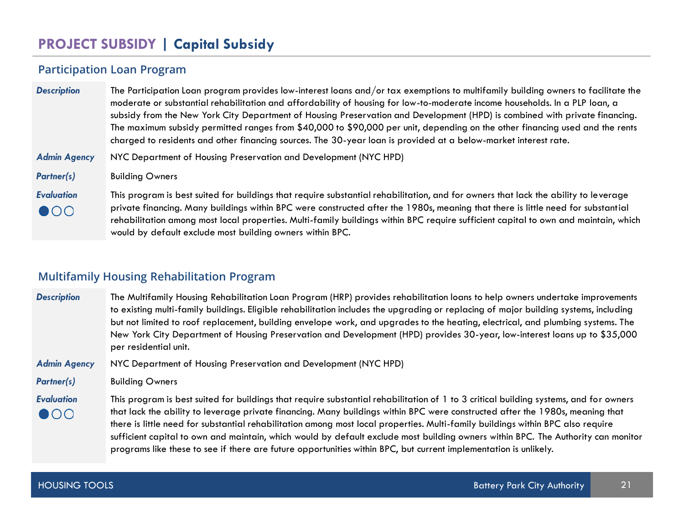# **PROJECT SUBSIDY | Capital Subsidy**

#### **Participation Loan Program**

| <b>Description</b>                | The Participation Loan program provides low-interest loans and/or tax exemptions to multifamily building owners to facilitate the<br>moderate or substantial rehabilitation and affordability of housing for low-to-moderate income households. In a PLP loan, a<br>subsidy from the New York City Department of Housing Preservation and Development (HPD) is combined with private financing.<br>The maximum subsidy permitted ranges from \$40,000 to \$90,000 per unit, depending on the other financing used and the rents<br>charged to residents and other financing sources. The 30-year loan is provided at a below-market interest rate. |
|-----------------------------------|----------------------------------------------------------------------------------------------------------------------------------------------------------------------------------------------------------------------------------------------------------------------------------------------------------------------------------------------------------------------------------------------------------------------------------------------------------------------------------------------------------------------------------------------------------------------------------------------------------------------------------------------------|
| <b>Admin Agency</b>               | NYC Department of Housing Preservation and Development (NYC HPD)                                                                                                                                                                                                                                                                                                                                                                                                                                                                                                                                                                                   |
| <b>Partner(s)</b>                 | <b>Building Owners</b>                                                                                                                                                                                                                                                                                                                                                                                                                                                                                                                                                                                                                             |
| <b>Evaluation</b><br>$\bullet$ 00 | This program is best suited for buildings that require substantial rehabilitation, and for owners that lack the ability to leverage<br>private financing. Many buildings within BPC were constructed after the 1980s, meaning that there is little need for substantial<br>rehabilitation among most local properties. Multi-family buildings within BPC require sufficient capital to own and maintain, which<br>would by default exclude most building owners within BPC.                                                                                                                                                                        |

#### **Multifamily Housing Rehabilitation Program**

*Description* The Multifamily Housing Rehabilitation Loan Program (HRP) provides rehabilitation loans to help owners undertake improvements to existing multi-family buildings. Eligible rehabilitation includes the upgrading or replacing of major building systems, including but not limited to roof replacement, building envelope work, and upgrades to the heating, electrical, and plumbing systems. The New York City Department of Housing Preservation and Development (HPD) provides 30-year, low-interest loans up to \$35,000 per residential unit.

*Admin Agency* NYC Department of Housing Preservation and Development (NYC HPD)

*Partner(s)* Building Owners

*Evaluation* This program is best suited for buildings that require substantial rehabilitation of 1 to 3 critical building systems, and for owners that lack the ability to leverage private financing. Many buildings within BPC were constructed after the 1980s, meaning that  $\bullet$ 00 there is little need for substantial rehabilitation among most local properties. Multi-family buildings within BPC also require sufficient capital to own and maintain, which would by default exclude most building owners within BPC. The Authority can monitor programs like these to see if there are future opportunities within BPC, but current implementation is unlikely.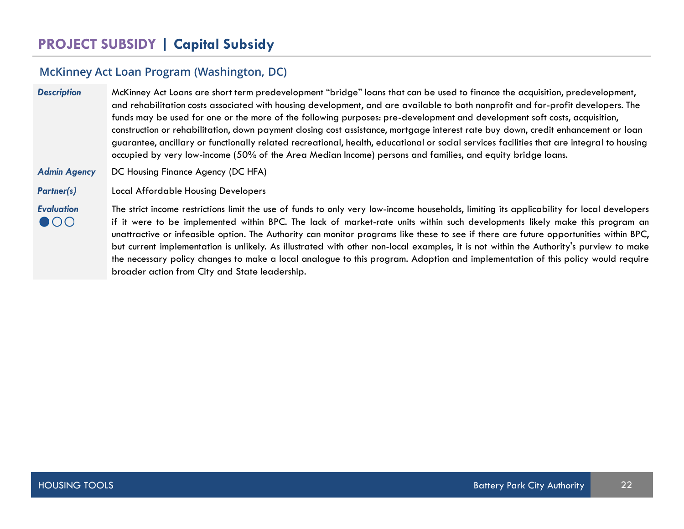### **McKinney Act Loan Program (Washington, DC)**

| <b>Description</b>  | McKinney Act Loans are short term predevelopment "bridge" loans that can be used to finance the acquisition, predevelopment,<br>and rehabilitation costs associated with housing development, and are available to both nonprofit and for-profit developers. The<br>funds may be used for one or the more of the following purposes: pre-development and development soft costs, acquisition,<br>construction or rehabilitation, down payment closing cost assistance, mortgage interest rate buy down, credit enhancement or loan<br>guarantee, ancillary or functionally related recreational, health, educational or social services facilities that are integral to housing<br>occupied by very low-income (50% of the Area Median Income) persons and families, and equity bridge loans. |
|---------------------|-----------------------------------------------------------------------------------------------------------------------------------------------------------------------------------------------------------------------------------------------------------------------------------------------------------------------------------------------------------------------------------------------------------------------------------------------------------------------------------------------------------------------------------------------------------------------------------------------------------------------------------------------------------------------------------------------------------------------------------------------------------------------------------------------|
| <b>Admin Agency</b> | DC Housing Finance Agency (DC HFA)                                                                                                                                                                                                                                                                                                                                                                                                                                                                                                                                                                                                                                                                                                                                                            |
| <b>Partner(s)</b>   | <b>Local Affordable Housing Developers</b>                                                                                                                                                                                                                                                                                                                                                                                                                                                                                                                                                                                                                                                                                                                                                    |
| <b>Evaluation</b>   | The strict income restrictions limit the use of funds to only very low-income households, limiting its applicability for local developers                                                                                                                                                                                                                                                                                                                                                                                                                                                                                                                                                                                                                                                     |

 $\bullet$ 00 if it were to be implemented within BPC. The lack of market-rate units within such developments likely make this program an unattractive or infeasible option. The Authority can monitor programs like these to see if there are future opportunities within BPC, but current implementation is unlikely. As illustrated with other non-local examples, it is not within the Authority's purview to make the necessary policy changes to make a local analogue to this program. Adoption and implementation of this policy would require broader action from City and State leadership.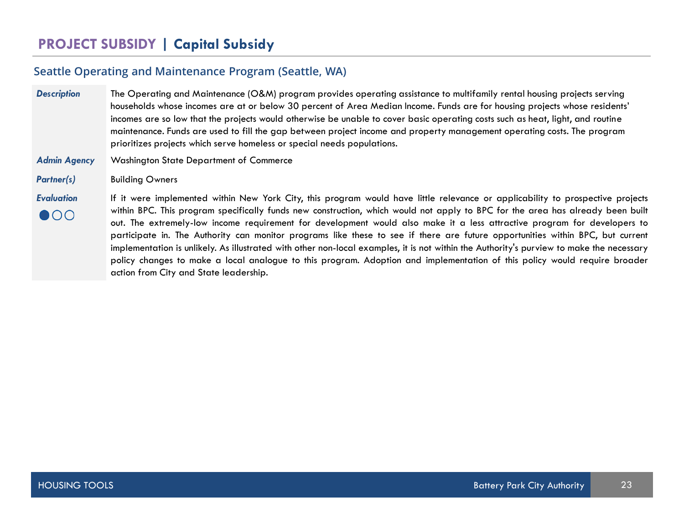# **PROJECT SUBSIDY | Capital Subsidy**

#### **Seattle Operating and Maintenance Program (Seattle, WA)**

*Description* The Operating and Maintenance (O&M) program provides operating assistance to multifamily rental housing projects serving households whose incomes are at or below 30 percent of Area Median Income. Funds are for housing projects whose residents' incomes are so low that the projects would otherwise be unable to cover basic operating costs such as heat, light, and routine maintenance. Funds are used to fill the gap between project income and property management operating costs. The program prioritizes projects which serve homeless or special needs populations.

#### *Admin Agency* Washington State Department of Commerce

Partner(s) **Building Owners** 

*Evaluation* If it were implemented within New York City, this program would have little relevance or applicability to prospective projects within BPC. This program specifically funds new construction, which would not apply to BPC for the area has already been built  $\bullet$  00 out. The extremely-low income requirement for development would also make it a less attractive program for developers to participate in. The Authority can monitor programs like these to see if there are future opportunities within BPC, but current implementation is unlikely. As illustrated with other non-local examples, it is not within the Authority's purview to make the necessary policy changes to make a local analogue to this program. Adoption and implementation of this policy would require broader action from City and State leadership.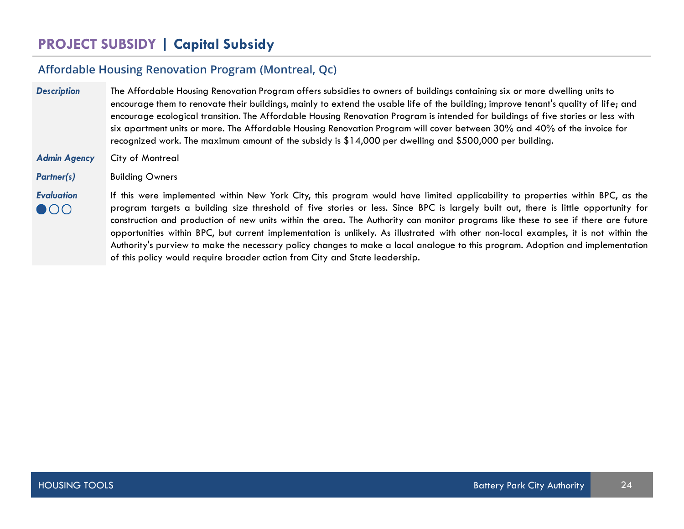# **PROJECT SUBSIDY | Capital Subsidy**

# **Affordable Housing Renovation Program (Montreal, Qc)**

| <b>Description</b>                | The Affordable Housing Renovation Program offers subsidies to owners of buildings containing six or more dwelling units to<br>encourage them to renovate their buildings, mainly to extend the usable life of the building; improve tenant's quality of life; and<br>encourage ecological transition. The Affordable Housing Renovation Program is intended for buildings of five stories or less with<br>six apartment units or more. The Affordable Housing Renovation Program will cover between 30% and 40% of the invoice for<br>recognized work. The maximum amount of the subsidy is \$14,000 per dwelling and \$500,000 per building.                                                                                                                      |
|-----------------------------------|--------------------------------------------------------------------------------------------------------------------------------------------------------------------------------------------------------------------------------------------------------------------------------------------------------------------------------------------------------------------------------------------------------------------------------------------------------------------------------------------------------------------------------------------------------------------------------------------------------------------------------------------------------------------------------------------------------------------------------------------------------------------|
| <b>Admin Agency</b>               | City of Montreal                                                                                                                                                                                                                                                                                                                                                                                                                                                                                                                                                                                                                                                                                                                                                   |
| <b>Partner(s)</b>                 | <b>Building Owners</b>                                                                                                                                                                                                                                                                                                                                                                                                                                                                                                                                                                                                                                                                                                                                             |
| <b>Evaluation</b><br>$\bullet$ 00 | If this were implemented within New York City, this program would have limited applicability to properties within BPC, as the<br>program targets a building size threshold of five stories or less. Since BPC is largely built out, there is little opportunity for<br>construction and production of new units within the area. The Authority can monitor programs like these to see if there are future<br>opportunities within BPC, but current implementation is unlikely. As illustrated with other non-local examples, it is not within the<br>Authority's purview to make the necessary policy changes to make a local analogue to this program. Adoption and implementation<br>of this policy would require broader action from City and State leadership. |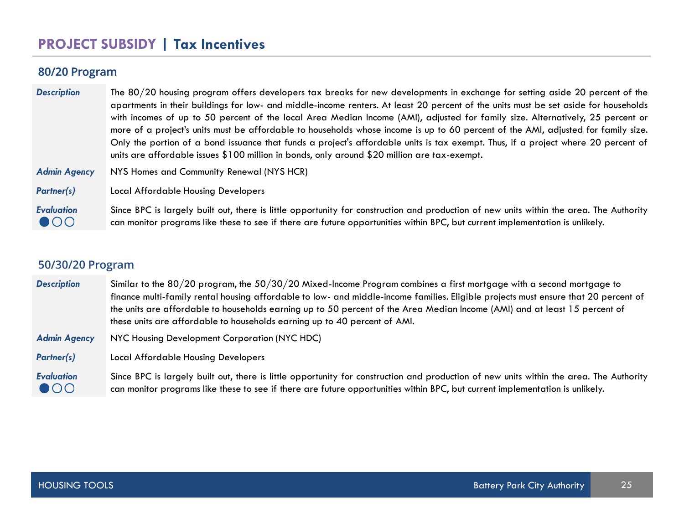# **PROJECT SUBSIDY | Tax Incentives**

#### **80/20 Program**

| <b>Description</b>                | The 80/20 housing program offers developers tax breaks for new developments in exchange for setting aside 20 percent of the<br>apartments in their buildings for low- and middle-income renters. At least 20 percent of the units must be set aside for households<br>with incomes of up to 50 percent of the local Area Median Income (AMI), adjusted for family size. Alternatively, 25 percent or<br>more of a project's units must be affordable to households whose income is up to 60 percent of the AMI, adjusted for family size.<br>Only the portion of a bond issuance that funds a project's affordable units is tax exempt. Thus, if a project where 20 percent of<br>units are affordable issues \$100 million in bonds, only around \$20 million are tax-exempt. |
|-----------------------------------|--------------------------------------------------------------------------------------------------------------------------------------------------------------------------------------------------------------------------------------------------------------------------------------------------------------------------------------------------------------------------------------------------------------------------------------------------------------------------------------------------------------------------------------------------------------------------------------------------------------------------------------------------------------------------------------------------------------------------------------------------------------------------------|
| <b>Admin Agency</b>               | NYS Homes and Community Renewal (NYS HCR)                                                                                                                                                                                                                                                                                                                                                                                                                                                                                                                                                                                                                                                                                                                                      |
| <b>Partner(s)</b>                 | <b>Local Affordable Housing Developers</b>                                                                                                                                                                                                                                                                                                                                                                                                                                                                                                                                                                                                                                                                                                                                     |
| <b>Evaluation</b><br>$\bullet$ 00 | Since BPC is largely built out, there is little opportunity for construction and production of new units within the area. The Authority<br>can monitor programs like these to see if there are future opportunities within BPC, but current implementation is unlikely.                                                                                                                                                                                                                                                                                                                                                                                                                                                                                                        |

### **50/30/20 Program**

| <b>Description</b>                | Similar to the 80/20 program, the $50/30/20$ Mixed-Income Program combines a first mortgage with a second mortgage to<br>finance multi-family rental housing affordable to low- and middle-income families. Eligible projects must ensure that 20 percent of<br>the units are affordable to households earning up to 50 percent of the Area Median Income (AMI) and at least 15 percent of<br>these units are affordable to households earning up to 40 percent of AMI. |
|-----------------------------------|-------------------------------------------------------------------------------------------------------------------------------------------------------------------------------------------------------------------------------------------------------------------------------------------------------------------------------------------------------------------------------------------------------------------------------------------------------------------------|
| <b>Admin Agency</b>               | NYC Housing Development Corporation (NYC HDC)                                                                                                                                                                                                                                                                                                                                                                                                                           |
| <b>Partner(s)</b>                 | Local Affordable Housing Developers                                                                                                                                                                                                                                                                                                                                                                                                                                     |
| <b>Evaluation</b><br>$\bullet$ 00 | Since BPC is largely built out, there is little opportunity for construction and production of new units within the area. The Authority<br>can monitor programs like these to see if there are future opportunities within BPC, but current implementation is unlikely.                                                                                                                                                                                                 |